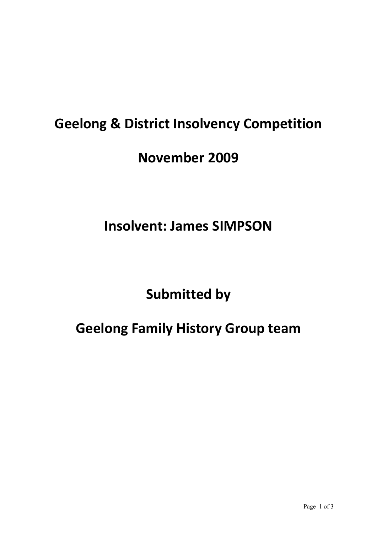# **Geelong & District Insolvency Competition**

#### **November 2009**

### **Insolvent: James SIMPSON**

# **Submitted by**

# **Geelong Family History Group team**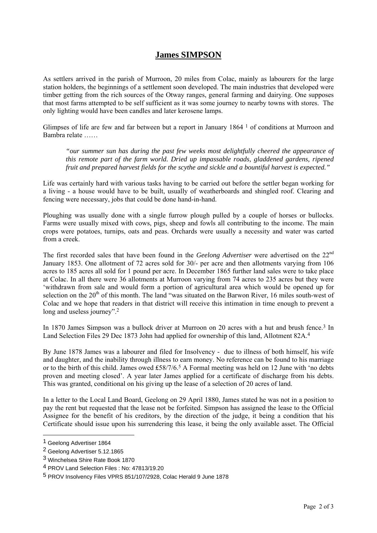#### **James SIMPSON**

As settlers arrived in the parish of Murroon, 20 miles from Colac, mainly as labourers for the large station holders, the beginnings of a settlement soon developed. The main industries that developed were timber getting from the rich sources of the Otway ranges, general farming and dairying. One supposes that most farms attempted to be self sufficient as it was some journey to nearby towns with stores. The only lighting would have been candles and later kerosene lamps.

Glimpses of life are few and far between but a report in January 1864 1 of conditions at Murroon and Bambra relate ……

*"our summer sun has during the past few weeks most delightfully cheered the appearance of this remote part of the farm world. Dried up impassable roads, gladdened gardens, ripened fruit and prepared harvest fields for the scythe and sickle and a bountiful harvest is expected."* 

Life was certainly hard with various tasks having to be carried out before the settler began working for a living - a house would have to be built, usually of weatherboards and shingled roof. Clearing and fencing were necessary, jobs that could be done hand-in-hand.

Ploughing was usually done with a single furrow plough pulled by a couple of horses or bullocks. Farms were usually mixed with cows, pigs, sheep and fowls all contributing to the income. The main crops were potatoes, turnips, oats and peas. Orchards were usually a necessity and water was carted from a creek.

The first recorded sales that have been found in the *Geelong Advertiser* were advertised on the 22<sup>nd</sup> January 1853. One allotment of 72 acres sold for 30/- per acre and then allotments varying from 106 acres to 185 acres all sold for 1 pound per acre. In December 1865 further land sales were to take place at Colac. In all there were 36 allotments at Murroon varying from 74 acres to 235 acres but they were 'withdrawn from sale and would form a portion of agricultural area which would be opened up for selection on the 20<sup>th</sup> of this month. The land "was situated on the Barwon River, 16 miles south-west of Colac and we hope that readers in that district will receive this intimation in time enough to prevent a long and useless journey".<sup>2</sup>

In 1870 James Simpson was a bullock driver at Murroon on 20 acres with a hut and brush fence.<sup>3</sup> In Land Selection Files 29 Dec 1873 John had applied for ownership of this land, Allotment 82A.4

By June 1878 James was a labourer and filed for Insolvency - due to illness of both himself, his wife and daughter, and the inability through illness to earn money. No reference can be found to his marriage or to the birth of this child. James owed  $\pounds 58/7/6.5$  A Formal meeting was held on 12 June with 'no debts proven and meeting closed'. A year later James applied for a certificate of discharge from his debts. This was granted, conditional on his giving up the lease of a selection of 20 acres of land.

In a letter to the Local Land Board, Geelong on 29 April 1880, James stated he was not in a position to pay the rent but requested that the lease not be forfeited. Simpson has assigned the lease to the Official Assignee for the benefit of his creditors, by the direction of the judge, it being a condition that his Certificate should issue upon his surrendering this lease, it being the only available asset. The Official

 $\overline{\phantom{a}}$ 

<sup>1</sup> Geelong Advertiser 1864

<sup>2</sup> Geelong Advertiser 5.12.1865

<sup>3</sup> Winchelsea Shire Rate Book 1870

<sup>4</sup> PROV Land Selection Files : No: 47813/19.20

<sup>5</sup> PROV Insolvency Files VPRS 851/107/2928, Colac Herald 9 June 1878